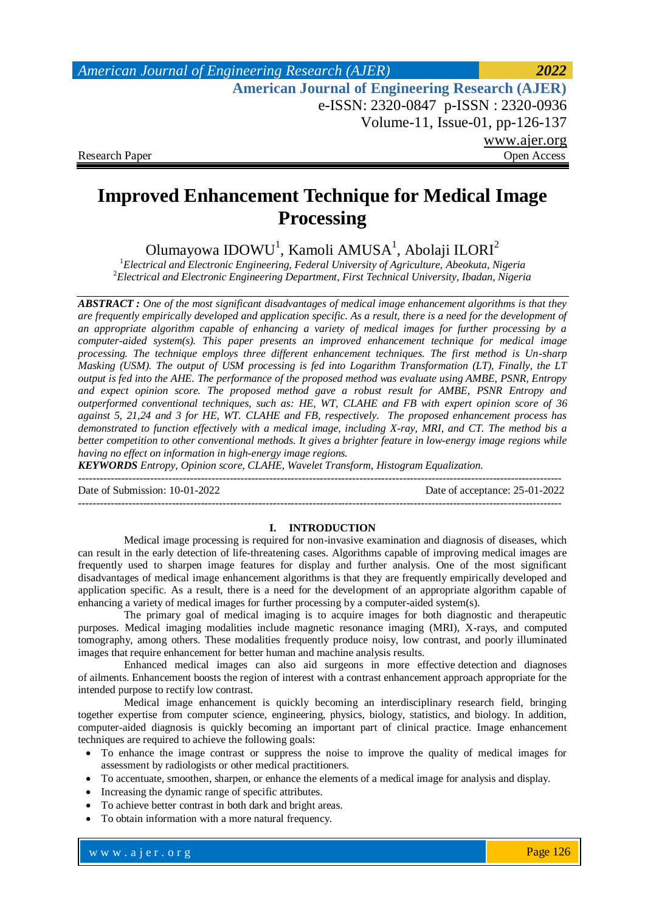*American Journal of Engineering Research (AJER) 2022*  **American Journal of Engineering Research (AJER)** e-ISSN: 2320-0847 p-ISSN : 2320-0936 Volume-11, Issue-01, pp-126-137 www.ajer.org Research Paper Open Access

# **Improved Enhancement Technique for Medical Image Processing**

Olumayowa IDOWU<sup>1</sup>, Kamoli AMUSA<sup>1</sup>, Abolaji ILORI<sup>2</sup>

<sup>1</sup>*Electrical and Electronic Engineering, Federal University of Agriculture, Abeokuta, Nigeria* <sup>2</sup>*Electrical and Electronic Engineering Department, First Technical University, Ibadan, Nigeria*

*ABSTRACT : One of the most significant disadvantages of medical image enhancement algorithms is that they are frequently empirically developed and application specific. As a result, there is a need for the development of an appropriate algorithm capable of enhancing a variety of medical images for further processing by a computer-aided system(s). This paper presents an improved enhancement technique for medical image processing. The technique employs three different enhancement techniques. The first method is Un-sharp Masking (USM). The output of USM processing is fed into Logarithm Transformation (LT), Finally, the LT output is fed into the AHE. The performance of the proposed method was evaluate using AMBE, PSNR, Entropy and expect opinion score. The proposed method gave a robust result for AMBE, PSNR Entropy and outperformed conventional techniques, such as: HE, WT, CLAHE and FB with expert opinion score of 36 against 5, 21,24 and 3 for HE, WT. CLAHE and FB, respectively. The proposed enhancement process has demonstrated to function effectively with a medical image, including X-ray, MRI, and CT. The method bis a better competition to other conventional methods. It gives a brighter feature in low-energy image regions while having no effect on information in high-energy image regions.*

*KEYWORDS Entropy, Opinion score, CLAHE, Wavelet Transform, Histogram Equalization.* --------------------------------------------------------------------------------------------------------------------------------------

Date of Submission: 10-01-2022 Date of acceptance: 25-01-2022

#### **I. INTRODUCTION**

--------------------------------------------------------------------------------------------------------------------------------------

Medical image processing is required for non-invasive examination and diagnosis of diseases, which can result in the early detection of life-threatening cases. Algorithms capable of improving medical images are frequently used to sharpen image features for display and further analysis. One of the most significant disadvantages of medical image enhancement algorithms is that they are frequently empirically developed and application specific. As a result, there is a need for the development of an appropriate algorithm capable of enhancing a variety of medical images for further processing by a computer-aided system(s).

The primary goal of medical imaging is to acquire images for both diagnostic and therapeutic purposes. Medical imaging modalities include magnetic resonance imaging (MRI), X-rays, and computed tomography, among others. These modalities frequently produce noisy, low contrast, and poorly illuminated images that require enhancement for better human and machine analysis results.

Enhanced medical images can also aid surgeons in more effective detection and diagnoses of ailments. Enhancement boosts the region of interest with a contrast enhancement approach appropriate for the intended purpose to rectify low contrast.

Medical image enhancement is quickly becoming an interdisciplinary research field, bringing together expertise from computer science, engineering, physics, biology, statistics, and biology. In addition, computer-aided diagnosis is quickly becoming an important part of clinical practice. Image enhancement techniques are required to achieve the following goals:

- To enhance the image contrast or suppress the noise to improve the quality of medical images for assessment by radiologists or other medical practitioners.
- To accentuate, smoothen, sharpen, or enhance the elements of a medical image for analysis and display.
- Increasing the dynamic range of specific attributes.
- To achieve better contrast in both dark and bright areas.
- To obtain information with a more natural frequency.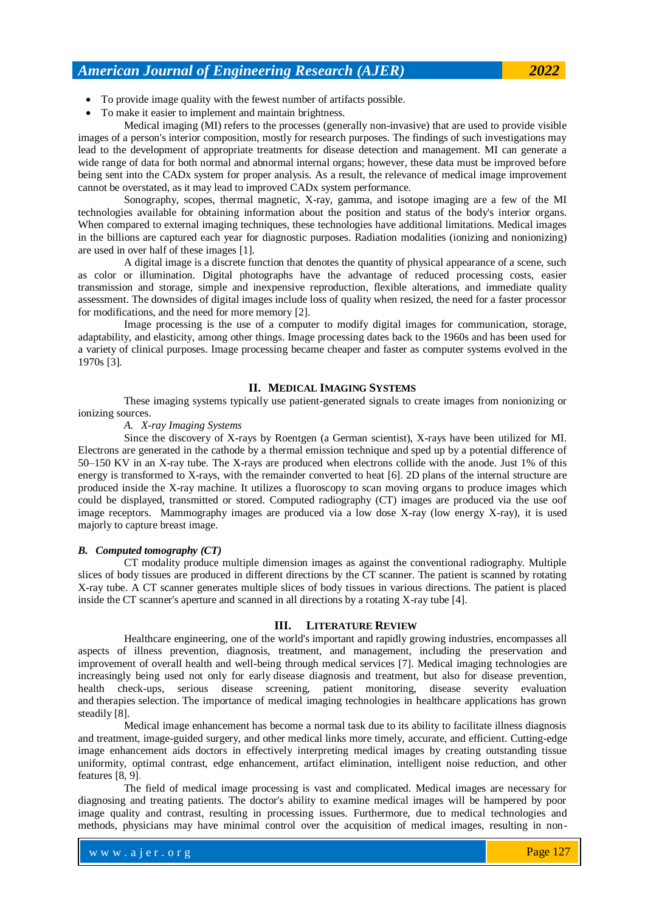• To make it easier to implement and maintain brightness.

Medical imaging (MI) refers to the processes (generally non-invasive) that are used to provide visible images of a person's interior composition, mostly for research purposes. The findings of such investigations may lead to the development of appropriate treatments for disease detection and management. MI can generate a wide range of data for both normal and abnormal internal organs; however, these data must be improved before being sent into the CADx system for proper analysis. As a result, the relevance of medical image improvement cannot be overstated, as it may lead to improved CADx system performance.

Sonography, scopes, thermal magnetic, X-ray, gamma, and isotope imaging are a few of the MI technologies available for obtaining information about the position and status of the body's interior organs. When compared to external imaging techniques, these technologies have additional limitations. Medical images in the billions are captured each year for diagnostic purposes. Radiation modalities (ionizing and nonionizing) are used in over half of these images [1].

A digital image is a discrete function that denotes the quantity of physical appearance of a scene, such as color or illumination. Digital photographs have the advantage of reduced processing costs, easier transmission and storage, simple and inexpensive reproduction, flexible alterations, and immediate quality assessment. The downsides of digital images include loss of quality when resized, the need for a faster processor for modifications, and the need for more memory [2].

Image processing is the use of a computer to modify digital images for communication, storage, adaptability, and elasticity, among other things. Image processing dates back to the 1960s and has been used for a variety of clinical purposes. Image processing became cheaper and faster as computer systems evolved in the 1970s [3].

#### **II. MEDICAL IMAGING SYSTEMS**

These imaging systems typically use patient-generated signals to create images from nonionizing or ionizing sources.

### *A. X-ray Imaging Systems*

Since the discovery of X-rays by Roentgen (a German scientist), X-rays have been utilized for MI. Electrons are generated in the cathode by a thermal emission technique and sped up by a potential difference of 50–150 KV in an X-ray tube. The X-rays are produced when electrons collide with the anode. Just 1% of this energy is transformed to X-rays, with the remainder converted to heat [6]. 2D plans of the internal structure are produced inside the X-ray machine. It utilizes a fluoroscopy to scan moving organs to produce images which could be displayed, transmitted or stored. Computed radiography (CT) images are produced via the use oof image receptors. Mammography images are produced via a low dose X-ray (low energy X-ray), it is used majorly to capture breast image.

#### *B. Computed tomography (CT)*

CT modality produce multiple dimension images as against the conventional radiography. Multiple slices of body tissues are produced in different directions by the CT scanner. The patient is scanned by rotating X-ray tube. A CT scanner generates multiple slices of body tissues in various directions. The patient is placed inside the CT scanner's aperture and scanned in all directions by a rotating X-ray tube [4].

#### **III. LITERATURE REVIEW**

Healthcare engineering, one of the world's important and rapidly growing industries, encompasses all aspects of illness prevention, diagnosis, treatment, and management, including the preservation and improvement of overall health and well-being through medical services [7]. Medical imaging technologies are increasingly being used not only for early disease diagnosis and treatment, but also for disease prevention, health check-ups, serious disease screening, patient monitoring, disease severity evaluation and therapies selection. The importance of medical imaging technologies in healthcare applications has grown steadily [8].

Medical image enhancement has become a normal task due to its ability to facilitate illness diagnosis and treatment, image-guided surgery, and other medical links more timely, accurate, and efficient. Cutting-edge image enhancement aids doctors in effectively interpreting medical images by creating outstanding tissue uniformity, optimal contrast, edge enhancement, artifact elimination, intelligent noise reduction, and other features [8, 9].

The field of medical image processing is vast and complicated. Medical images are necessary for diagnosing and treating patients. The doctor's ability to examine medical images will be hampered by poor image quality and contrast, resulting in processing issues. Furthermore, due to medical technologies and methods, physicians may have minimal control over the acquisition of medical images, resulting in non-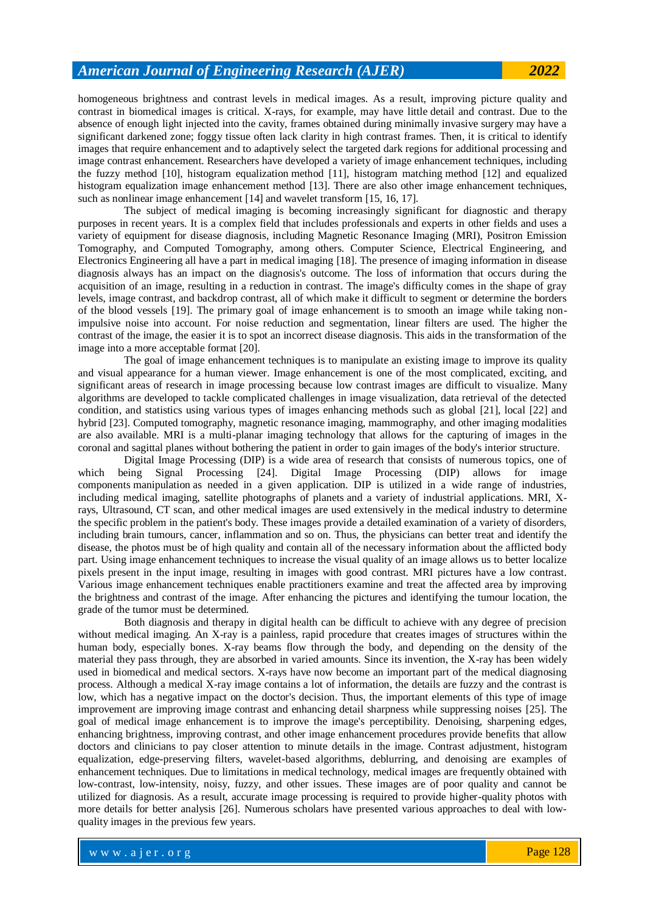homogeneous brightness and contrast levels in medical images. As a result, improving picture quality and contrast in biomedical images is critical. X-rays, for example, may have little detail and contrast. Due to the absence of enough light injected into the cavity, frames obtained during minimally invasive surgery may have a significant darkened zone; foggy tissue often lack clarity in high contrast frames. Then, it is critical to identify images that require enhancement and to adaptively select the targeted dark regions for additional processing and image contrast enhancement. Researchers have developed a variety of image enhancement techniques, including the fuzzy method [10], histogram equalization method [11], histogram matching method [12] and equalized histogram equalization image enhancement method [13]. There are also other image enhancement techniques, such as nonlinear image enhancement [14] and wavelet transform [15, 16, 17].

The subject of medical imaging is becoming increasingly significant for diagnostic and therapy purposes in recent years. It is a complex field that includes professionals and experts in other fields and uses a variety of equipment for disease diagnosis, including Magnetic Resonance Imaging (MRI), Positron Emission Tomography, and Computed Tomography, among others. Computer Science, Electrical Engineering, and Electronics Engineering all have a part in medical imaging [18]. The presence of imaging information in disease diagnosis always has an impact on the diagnosis's outcome. The loss of information that occurs during the acquisition of an image, resulting in a reduction in contrast. The image's difficulty comes in the shape of gray levels, image contrast, and backdrop contrast, all of which make it difficult to segment or determine the borders of the blood vessels [19]. The primary goal of image enhancement is to smooth an image while taking nonimpulsive noise into account. For noise reduction and segmentation, linear filters are used. The higher the contrast of the image, the easier it is to spot an incorrect disease diagnosis. This aids in the transformation of the image into a more acceptable format [20].

The goal of image enhancement techniques is to manipulate an existing image to improve its quality and visual appearance for a human viewer. Image enhancement is one of the most complicated, exciting, and significant areas of research in image processing because low contrast images are difficult to visualize. Many algorithms are developed to tackle complicated challenges in image visualization, data retrieval of the detected condition, and statistics using various types of images enhancing methods such as global [21], local [22] and hybrid [23]. Computed tomography, magnetic resonance imaging, mammography, and other imaging modalities are also available. MRI is a multi-planar imaging technology that allows for the capturing of images in the coronal and sagittal planes without bothering the patient in order to gain images of the body's interior structure.

Digital Image Processing (DIP) is a wide area of research that consists of numerous topics, one of which being Signal Processing [24]. Digital Image Processing (DIP) allows for image components manipulation as needed in a given application. DIP is utilized in a wide range of industries, including medical imaging, satellite photographs of planets and a variety of industrial applications. MRI, Xrays, Ultrasound, CT scan, and other medical images are used extensively in the medical industry to determine the specific problem in the patient's body. These images provide a detailed examination of a variety of disorders, including brain tumours, cancer, inflammation and so on. Thus, the physicians can better treat and identify the disease, the photos must be of high quality and contain all of the necessary information about the afflicted body part. Using image enhancement techniques to increase the visual quality of an image allows us to better localize pixels present in the input image, resulting in images with good contrast. MRI pictures have a low contrast. Various image enhancement techniques enable practitioners examine and treat the affected area by improving the brightness and contrast of the image. After enhancing the pictures and identifying the tumour location, the grade of the tumor must be determined.

Both diagnosis and therapy in digital health can be difficult to achieve with any degree of precision without medical imaging. An X-ray is a painless, rapid procedure that creates images of structures within the human body, especially bones. X-ray beams flow through the body, and depending on the density of the material they pass through, they are absorbed in varied amounts. Since its invention, the X-ray has been widely used in biomedical and medical sectors. X-rays have now become an important part of the medical diagnosing process. Although a medical X-ray image contains a lot of information, the details are fuzzy and the contrast is low, which has a negative impact on the doctor's decision. Thus, the important elements of this type of image improvement are improving image contrast and enhancing detail sharpness while suppressing noises [25]. The goal of medical image enhancement is to improve the image's perceptibility. Denoising, sharpening edges, enhancing brightness, improving contrast, and other image enhancement procedures provide benefits that allow doctors and clinicians to pay closer attention to minute details in the image. Contrast adjustment, histogram equalization, edge-preserving filters, wavelet-based algorithms, deblurring, and denoising are examples of enhancement techniques. Due to limitations in medical technology, medical images are frequently obtained with low-contrast, low-intensity, noisy, fuzzy, and other issues. These images are of poor quality and cannot be utilized for diagnosis. As a result, accurate image processing is required to provide higher-quality photos with more details for better analysis [26]. Numerous scholars have presented various approaches to deal with lowquality images in the previous few years.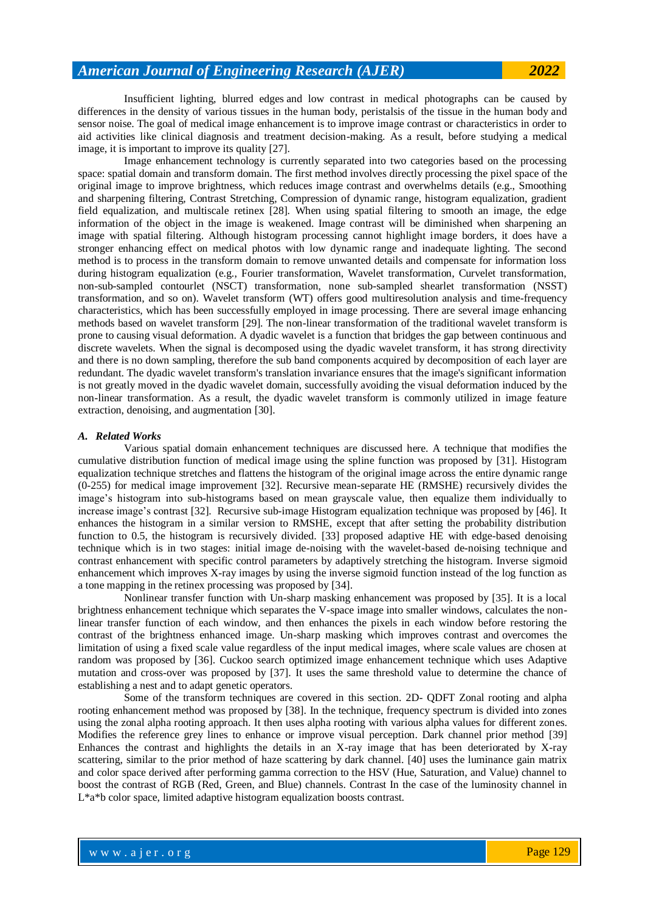Insufficient lighting, blurred edges and low contrast in medical photographs can be caused by differences in the density of various tissues in the human body, peristalsis of the tissue in the human body and sensor noise. The goal of medical image enhancement is to improve image contrast or characteristics in order to aid activities like clinical diagnosis and treatment decision-making. As a result, before studying a medical image, it is important to improve its quality [27].

Image enhancement technology is currently separated into two categories based on the processing space: spatial domain and transform domain. The first method involves directly processing the pixel space of the original image to improve brightness, which reduces image contrast and overwhelms details (e.g., Smoothing and sharpening filtering, Contrast Stretching, Compression of dynamic range, histogram equalization, gradient field equalization, and multiscale retinex [28]. When using spatial filtering to smooth an image, the edge information of the object in the image is weakened. Image contrast will be diminished when sharpening an image with spatial filtering. Although histogram processing cannot highlight image borders, it does have a stronger enhancing effect on medical photos with low dynamic range and inadequate lighting. The second method is to process in the transform domain to remove unwanted details and compensate for information loss during histogram equalization (e.g., Fourier transformation, Wavelet transformation, Curvelet transformation, non-sub-sampled contourlet (NSCT) transformation, none sub-sampled shearlet transformation (NSST) transformation, and so on). Wavelet transform (WT) offers good multiresolution analysis and time-frequency characteristics, which has been successfully employed in image processing. There are several image enhancing methods based on wavelet transform [29]. The non-linear transformation of the traditional wavelet transform is prone to causing visual deformation. A dyadic wavelet is a function that bridges the gap between continuous and discrete wavelets. When the signal is decomposed using the dyadic wavelet transform, it has strong directivity and there is no down sampling, therefore the sub band components acquired by decomposition of each layer are redundant. The dyadic wavelet transform's translation invariance ensures that the image's significant information is not greatly moved in the dyadic wavelet domain, successfully avoiding the visual deformation induced by the non-linear transformation. As a result, the dyadic wavelet transform is commonly utilized in image feature extraction, denoising, and augmentation [30].

## *A. Related Works*

Various spatial domain enhancement techniques are discussed here. A technique that modifies the cumulative distribution function of medical image using the spline function was proposed by [31]. Histogram equalization technique stretches and flattens the histogram of the original image across the entire dynamic range (0-255) for medical image improvement [32]. Recursive mean-separate HE (RMSHE) recursively divides the image's histogram into sub-histograms based on mean grayscale value, then equalize them individually to increase image's contrast [32]. Recursive sub-image Histogram equalization technique was proposed by [46]. It enhances the histogram in a similar version to RMSHE, except that after setting the probability distribution function to 0.5, the histogram is recursively divided. [33] proposed adaptive HE with edge-based denoising technique which is in two stages: initial image de-noising with the wavelet-based de-noising technique and contrast enhancement with specific control parameters by adaptively stretching the histogram. Inverse sigmoid enhancement which improves X-ray images by using the inverse sigmoid function instead of the log function as a tone mapping in the retinex processing was proposed by [34].

Nonlinear transfer function with Un-sharp masking enhancement was proposed by [35]. It is a local brightness enhancement technique which separates the V-space image into smaller windows, calculates the nonlinear transfer function of each window, and then enhances the pixels in each window before restoring the contrast of the brightness enhanced image. Un-sharp masking which improves contrast and overcomes the limitation of using a fixed scale value regardless of the input medical images, where scale values are chosen at random was proposed by [36]. Cuckoo search optimized image enhancement technique which uses Adaptive mutation and cross-over was proposed by [37]. It uses the same threshold value to determine the chance of establishing a nest and to adapt genetic operators.

Some of the transform techniques are covered in this section. 2D- QDFT Zonal rooting and alpha rooting enhancement method was proposed by [38]. In the technique, frequency spectrum is divided into zones using the zonal alpha rooting approach. It then uses alpha rooting with various alpha values for different zones. Modifies the reference grey lines to enhance or improve visual perception. Dark channel prior method [39] Enhances the contrast and highlights the details in an X-ray image that has been deteriorated by X-ray scattering, similar to the prior method of haze scattering by dark channel. [40] uses the luminance gain matrix and color space derived after performing gamma correction to the HSV (Hue, Saturation, and Value) channel to boost the contrast of RGB (Red, Green, and Blue) channels. Contrast In the case of the luminosity channel in L\*a\*b color space, limited adaptive histogram equalization boosts contrast.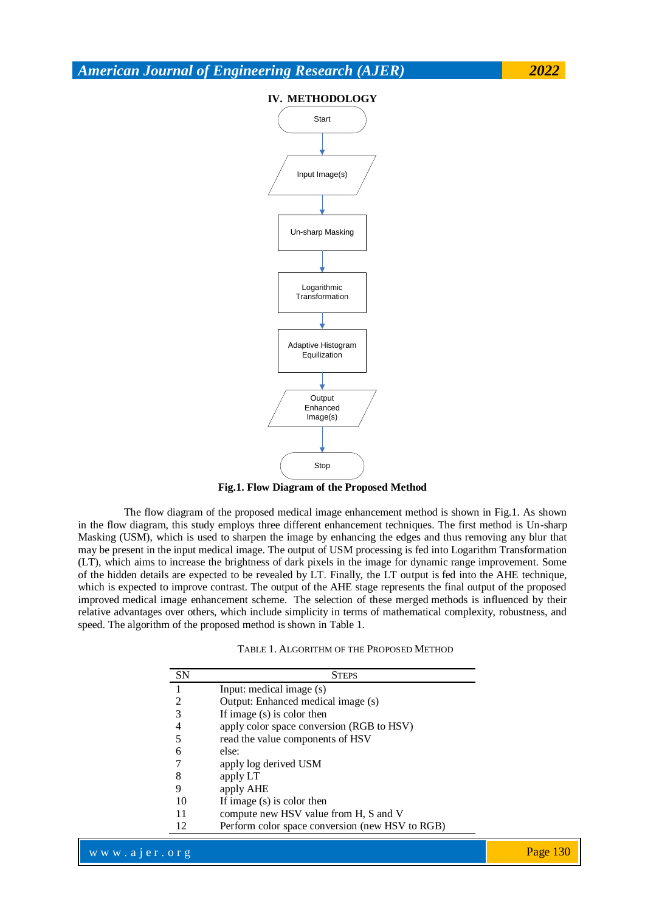

**Fig.1. Flow Diagram of the Proposed Method**

The flow diagram of the proposed medical image enhancement method is shown in Fig.1. As shown in the flow diagram, this study employs three different enhancement techniques. The first method is Un-sharp Masking (USM), which is used to sharpen the image by enhancing the edges and thus removing any blur that may be present in the input medical image. The output of USM processing is fed into Logarithm Transformation (LT), which aims to increase the brightness of dark pixels in the image for dynamic range improvement. Some of the hidden details are expected to be revealed by LT. Finally, the LT output is fed into the AHE technique, which is expected to improve contrast. The output of the AHE stage represents the final output of the proposed improved medical image enhancement scheme. The selection of these merged methods is influenced by their relative advantages over others, which include simplicity in terms of mathematical complexity, robustness, and speed. The algorithm of the proposed method is shown in Table 1.

| SN | <b>STEPS</b>                                    |  |
|----|-------------------------------------------------|--|
|    | Input: medical image (s)                        |  |
|    | Output: Enhanced medical image (s)              |  |
| 3  | If image (s) is color then                      |  |
| 4  | apply color space conversion (RGB to HSV)       |  |
| 5  | read the value components of HSV                |  |
| 6  | else:                                           |  |
|    | apply log derived USM                           |  |
| 8  | apply LT                                        |  |
| 9  | apply AHE                                       |  |
| 10 | If image (s) is color then                      |  |
| 11 | compute new HSV value from H, S and V           |  |
| 12 | Perform color space conversion (new HSV to RGB) |  |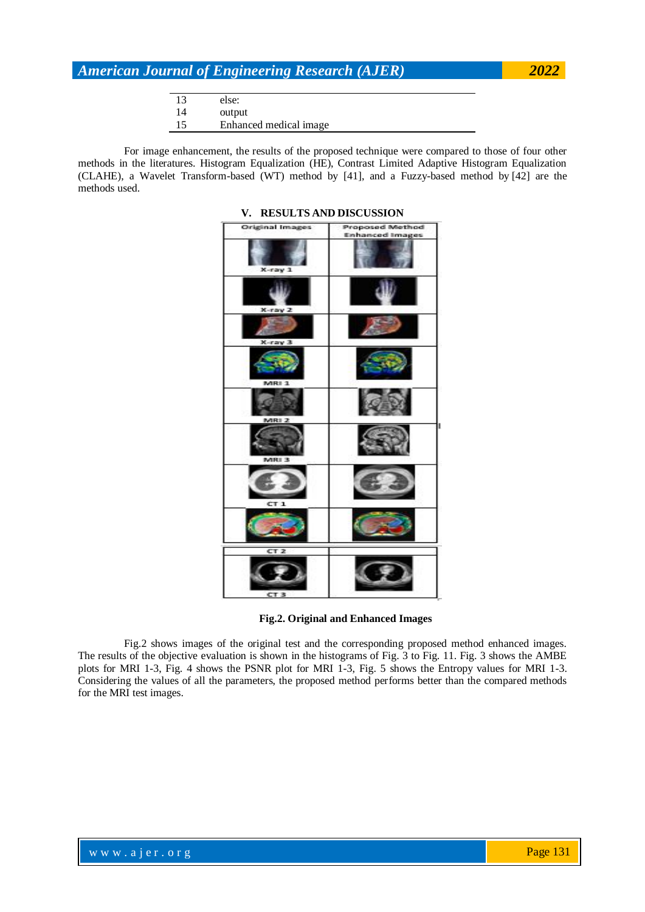|    | else:                  |
|----|------------------------|
| 14 | output                 |
| 15 | Enhanced medical image |

For image enhancement, the results of the proposed technique were compared to those of four other methods in the literatures. Histogram Equalization (HE), Contrast Limited Adaptive Histogram Equalization (CLAHE), a Wavelet Transform-based (WT) method by [41], and a Fuzzy-based method by [42] are the methods used.

| <b>Original Images</b> | <b>Proposed Method</b><br><b>Enhanced Images</b> |
|------------------------|--------------------------------------------------|
| X-ray 1                |                                                  |
| X-ray 2                |                                                  |
| $X$ -ray $3$           |                                                  |
| MRI 1                  |                                                  |
| MRI 2                  |                                                  |
| MRI 3                  |                                                  |
| CT <sub>1</sub>        |                                                  |
|                        |                                                  |
| CT <sub>2</sub>        |                                                  |
| CT <sub>3</sub>        |                                                  |

### **V. RESULTS AND DISCUSSION**

**Fig.2. Original and Enhanced Images**

Fig.2 shows images of the original test and the corresponding proposed method enhanced images. The results of the objective evaluation is shown in the histograms of Fig. 3 to Fig. 11. Fig. 3 shows the AMBE plots for MRI 1-3, Fig. 4 shows the PSNR plot for MRI 1-3, Fig. 5 shows the Entropy values for MRI 1-3. Considering the values of all the parameters, the proposed method performs better than the compared methods for the MRI test images.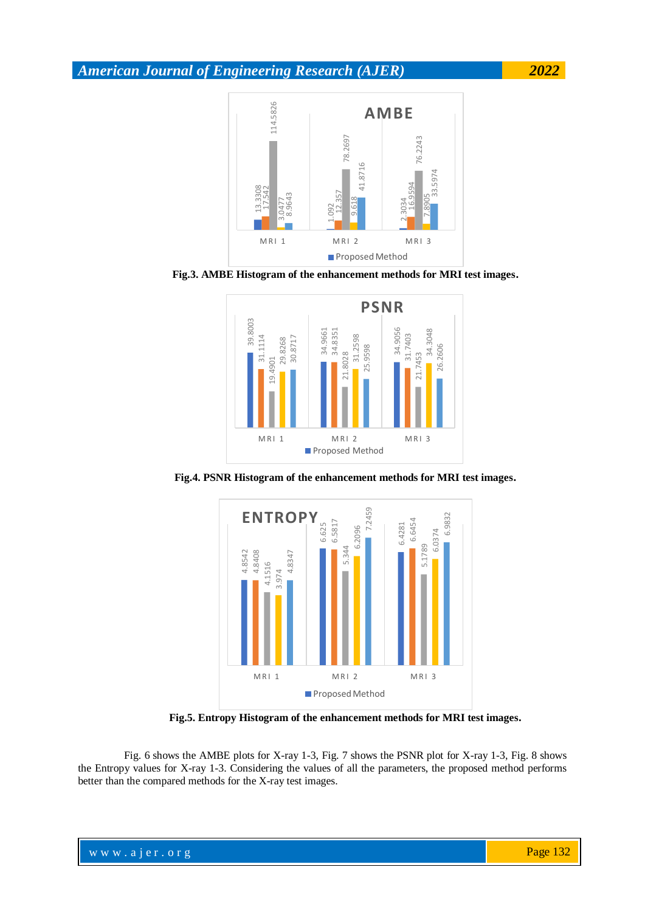





**Fig.4. PSNR Histogram of the enhancement methods for MRI test images.**



**Fig.5. Entropy Histogram of the enhancement methods for MRI test images.**

Fig. 6 shows the AMBE plots for X-ray 1-3, Fig. 7 shows the PSNR plot for X-ray 1-3, Fig. 8 shows the Entropy values for X-ray 1-3. Considering the values of all the parameters, the proposed method performs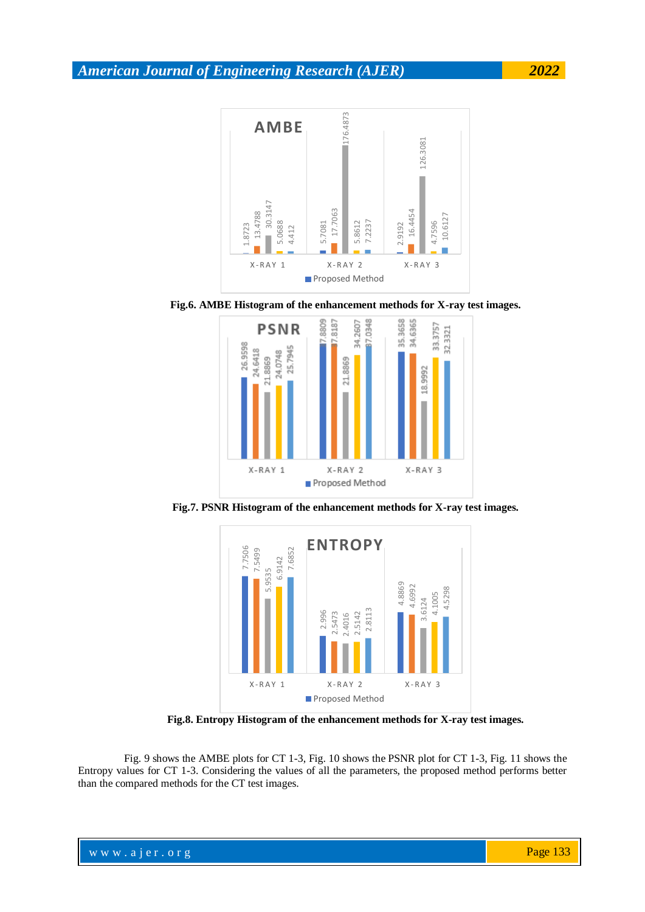

**Fig.6. AMBE Histogram of the enhancement methods for X-ray test images.**



**Fig.7. PSNR Histogram of the enhancement methods for X-ray test images.**



**Fig.8. Entropy Histogram of the enhancement methods for X-ray test images.**

Fig. 9 shows the AMBE plots for CT 1-3, Fig. 10 shows the PSNR plot for CT 1-3, Fig. 11 shows the Entropy values for CT 1-3. Considering the values of all the parameters, the proposed method performs better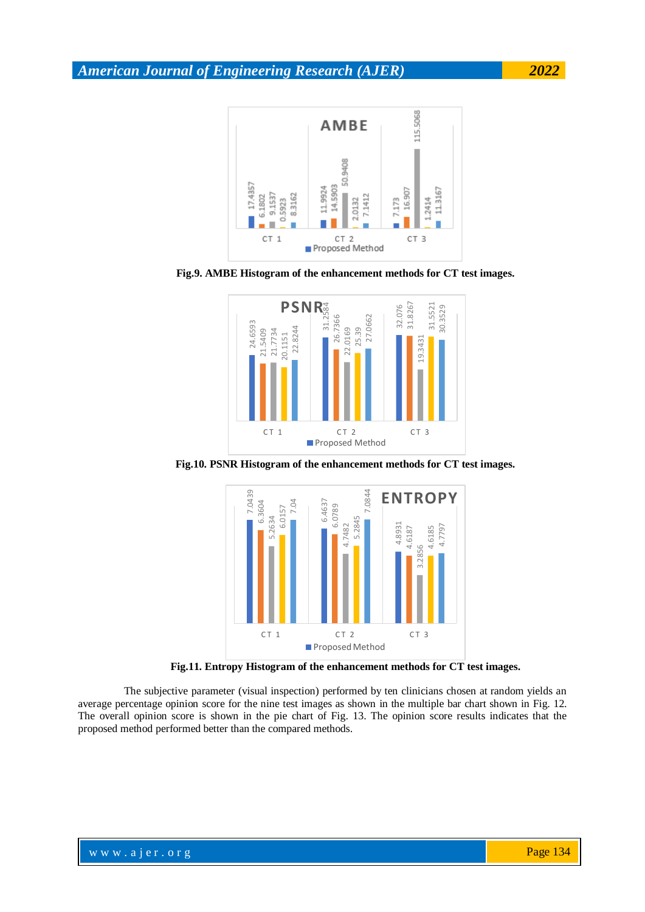

**Fig.9. AMBE Histogram of the enhancement methods for CT test images.**



**Fig.10. PSNR Histogram of the enhancement methods for CT test images.**



**Fig.11. Entropy Histogram of the enhancement methods for CT test images.**

The subjective parameter (visual inspection) performed by ten clinicians chosen at random yields an average percentage opinion score for the nine test images as shown in the multiple bar chart shown in Fig. 12. The overall opinion score is shown in the pie chart of Fig. 13. The opinion score results indicates that the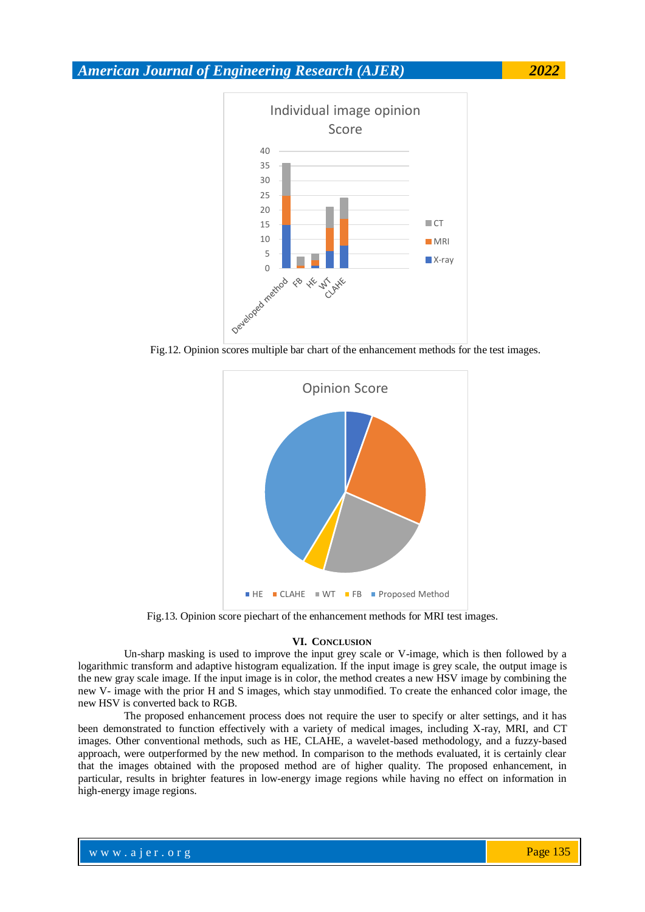

Fig.12. Opinion scores multiple bar chart of the enhancement methods for the test images.



Fig.13. Opinion score piechart of the enhancement methods for MRI test images.

#### **VI. CONCLUSION**

Un-sharp masking is used to improve the input grey scale or V-image, which is then followed by a logarithmic transform and adaptive histogram equalization. If the input image is grey scale, the output image is the new gray scale image. If the input image is in color, the method creates a new HSV image by combining the new V- image with the prior H and S images, which stay unmodified. To create the enhanced color image, the new HSV is converted back to RGB.

The proposed enhancement process does not require the user to specify or alter settings, and it has been demonstrated to function effectively with a variety of medical images, including X-ray, MRI, and CT images. Other conventional methods, such as HE, CLAHE, a wavelet-based methodology, and a fuzzy-based approach, were outperformed by the new method. In comparison to the methods evaluated, it is certainly clear that the images obtained with the proposed method are of higher quality. The proposed enhancement, in particular, results in brighter features in low-energy image regions while having no effect on information in high-energy image regions.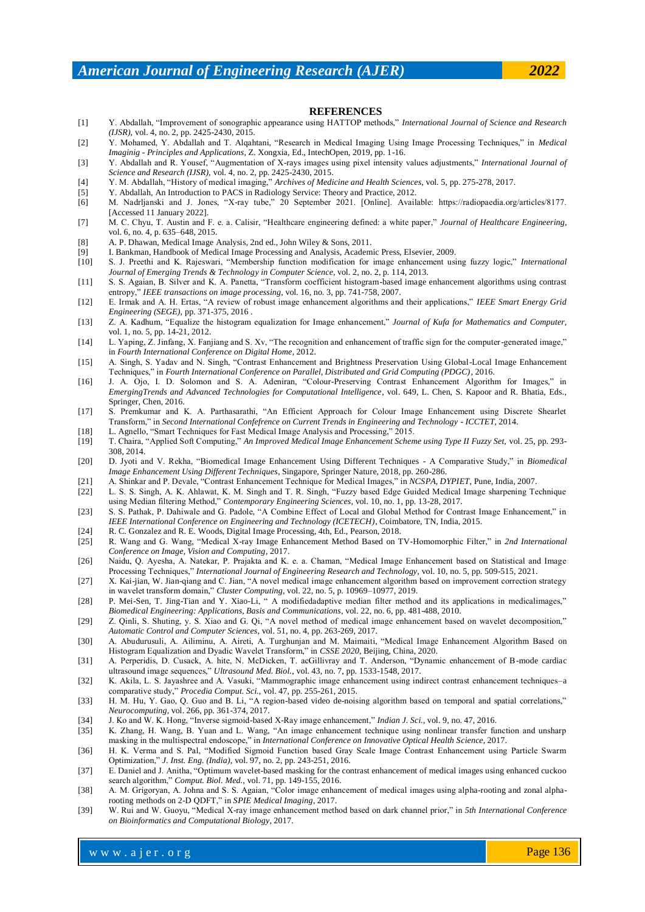#### **REFERENCES**

- [1] Y. Abdallah, "Improvement of sonographic appearance using HATTOP methods," *International Journal of Science and Research (IJSR),* vol. 4, no. 2, pp. 2425-2430, 2015.
- [2] Y. Mohamed, Y. Abdallah and T. Alqahtani, "Research in Medical Imaging Using Image Processing Techniques," in *Medical Imaginig - Principles and Applications*, Z. Xongxia, Ed., IntechOpen, 2019, pp. 1-16.
- [3] Y. Abdallah and R. Yousef, "Augmentation of X-rays images using pixel intensity values adjustments," *International Journal of Science and Research (IJSR),* vol. 4, no. 2, pp. 2425-2430, 2015.
- [4] Y. M. Abdallah, "History of medical imaging," *Archives of Medicine and Health Sciences,* vol. 5, pp. 275-278, 2017.
- [5] Y. Abdallah, An Introduction to PACS in Radiology Service: Theory and Practice, 2012.
- [6] M. Nadrljanski and J. Jones, "X-ray tube," 20 September 2021. [Online]. Available: https://radiopaedia.org/articles/8177. [Accessed 11 January 2022].
- [7] M. C. Chyu, T. Austin and F. e. a. Calisir, "Healthcare engineering defined: a white paper," *Journal of Healthcare Engineering,*  vol. 6, no. 4, p. 635–648, 2015.
- [8] A. P. Dhawan, Medical Image Analysis, 2nd ed., John Wiley & Sons, 2011.
- [9] I. Bankman, Handbook of Medical Image Processing and Analysis, Academic Press, Elsevier, 2009.
- [10] S. J. Preethi and K. Rajeswari, "Membership function modification for image enhancement using fuzzy logic," *International Journal of Emerging Trends & Technology in Computer Science,* vol. 2, no. 2, p. 114, 2013.
- [11] S. S. Agaian, B. Silver and K. A. Panetta, "Transform coefficient histogram-based image enhancement algorithms using contrast entropy," *IEEE transactions on image processing,* vol. 16, no. 3, pp. 741-758, 2007.
- [12] E. Irmak and A. H. Ertas, "A review of robust image enhancement algorithms and their applications," *IEEE Smart Energy Grid Engineering (SEGE),* pp. 371-375, 2016 .
- [13] Z. A. Kadhum, "Equalize the histogram equalization for Image enhancement," *Journal of Kufa for Mathematics and Computer,*  vol. 1, no. 5, pp. 14-21, 2012.
- [14] L. Yaping, Z. Jinfang, X. Fanjiang and S. Xv, "The recognition and enhancement of traffic sign for the computer-generated image," in *Fourth International Conference on Digital Home*, 2012.
- [15] A. Singh, S. Yadav and N. Singh, "Contrast Enhancement and Brightness Preservation Using Global-Local Image Enhancement Techniques," in *Fourth International Conference on Parallel, Distributed and Grid Computing (PDGC)*, 2016.
- [16] J. A. Ojo, I. D. Solomon and S. A. Adeniran, "Colour-Preserving Contrast Enhancement Algorithm for Images," in *EmergingTrends and Advanced Technologies for Computational Intelligence*, vol. 649, L. Chen, S. Kapoor and R. Bhatia, Eds., Springer, Chen, 2016.
- [17] S. Premkumar and K. A. Parthasarathi, "An Efficient Approach for Colour Image Enhancement using Discrete Shearlet Transform," in *Second International Confefrence on Current Trends in Engineering and Technology - ICCTET*, 2014.
- [18] L. Agnello, "Smart Techniques for Fast Medical Image Analysis and Processing," 2015.
- [19] T. Chaira, "Applied Soft Computing," *An Improved Medical Image Enhancement Scheme using Type II Fuzzy Set,* vol. 25, pp. 293- 308, 2014.
- [20] D. Jyoti and V. Rekha, "Biomedical Image Enhancement Using Different Techniques A Comparative Study," in *Biomedical Image Enhancement Using Different Techniques*, Singapore, Springer Nature, 2018, pp. 260-286.
- [21] A. Shinkar and P. Devale, "Contrast Enhancement Technique for Medical Images," in *NCSPA, DYPIET*, Pune, India, 2007.
- [22] L. S. S. Singh, A. K. Ahlawat, K. M. Singh and T. R. Singh, "Fuzzy based Edge Guided Medical Image sharpening Technique using Median filtering Method," *Contemporary Engineering Sciences,* vol. 10, no. 1, pp. 13-28, 2017.
- [23] S. S. Pathak, P. Dahiwale and G. Padole, "A Combine Effect of Local and Global Method for Contrast Image Enhancement," in *IEEE International Conference on Engineering and Technology (ICETECH)*, Coimbatore, TN, India, 2015.
- [24] R. C. Gonzalez and R. E. Woods, Digital Image Processing, 4th, Ed., Pearson, 2018.
- [25] R. Wang and G. Wang, "Medical X-ray Image Enhancement Method Based on TV-Homomorphic Filter," in *2nd International Conference on Image, Vision and Computing*, 2017.
- [26] Naidu, Q. Ayesha, A. Natekar, P. Prajakta and K. e. a. Chaman, "Medical Image Enhancement based on Statistical and Image Processing Techniques," *International Journal of Engineering Research and Technology,* vol. 10, no. 5, pp. 509-515, 2021.
- [27] X. Kai-jian, W. Jian-qiang and C. Jian, "A novel medical image enhancement algorithm based on improvement correction strategy in wavelet transform domain," *Cluster Computing,* vol. 22, no. 5, p. 10969–10977, 2019.
- [28] P. Mei-Sen, T. Jing-Tian and Y. Xiao-Li, " A modifiedadaptive median filter method and its applications in medicalimages," *Biomedical Engineering: Applications, Basis and Communications,* vol. 22, no. 6, pp. 481-488, 2010.
- [29] Z. Qinli, S. Shuting, y. S. Xiao and G. Qi, "A novel method of medical image enhancement based on wavelet decomposition," *Automatic Control and Computer Sciences,* vol. 51, no. 4, pp. 263-269, 2017.
- [30] A. Abudurusuli, A. Ailiminu, A. Aireti, A. Turghunjan and M. Maimaiti, "Medical Image Enhancement Algorithm Based on Histogram Equalization and Dyadic Wavelet Transform," in *CSSE 2020*, Beijing, China, 2020.
- [31] A. Perperidis, D. Cusack, A. hite, N. McDicken, T. acGillivray and T. Anderson, "Dynamic enhancement of B-mode cardiac ultrasound image sequences," *Ultrasound Med. Biol.,* vol. 43, no. 7, pp. 1533-1548, 2017.
- [32] K. Akila, L. S. Jayashree and A. Vasuki, "Mammographic image enhancement using indirect contrast enhancement techniques–a comparative study," *Procedia Comput. Sci.,* vol. 47, pp. 255-261, 2015.
- [33] H. M. Hu, Y. Gao, Q. Guo and B. Li, "A region-based video de-noising algorithm based on temporal and spatial correlations," *Neurocomputing,* vol. 266, pp. 361-374, 2017.
- [34] J. Ko and W. K. Hong, "Inverse sigmoid-based X-Ray image enhancement," *Indian J. Sci.,* vol. 9, no. 47, 2016.
- [35] K. Zhang, H. Wang, B. Yuan and L. Wang, "An image enhancement technique using nonlinear transfer function and unsharp masking in the multispectral endoscope," in *International Conference on Innovative Optical Health Science*, 2017.
- [36] H. K. Verma and S. Pal, "Modified Sigmoid Function based Gray Scale Image Contrast Enhancement using Particle Swarm Optimization," *J. Inst. Eng. (India),* vol. 97, no. 2, pp. 243-251, 2016.
- [37] E. Daniel and J. Anitha, "Optimum wavelet-based masking for the contrast enhancement of medical images using enhanced cuckoo search algorithm," *Comput. Biol. Med.,* vol. 71, pp. 149-155, 2016.
- [38] A. M. Grigoryan, A. Johna and S. S. Agaian, "Color image enhancement of medical images using alpha-rooting and zonal alpharooting methods on 2-D QDFT," in *SPIE Medical Imaging*, 2017.
- [39] W. Rui and W. Guoyu, "Medical X-ray image enhancement method based on dark channel prior," in *5th International Conference on Bioinformatics and Computational Biology*, 2017.